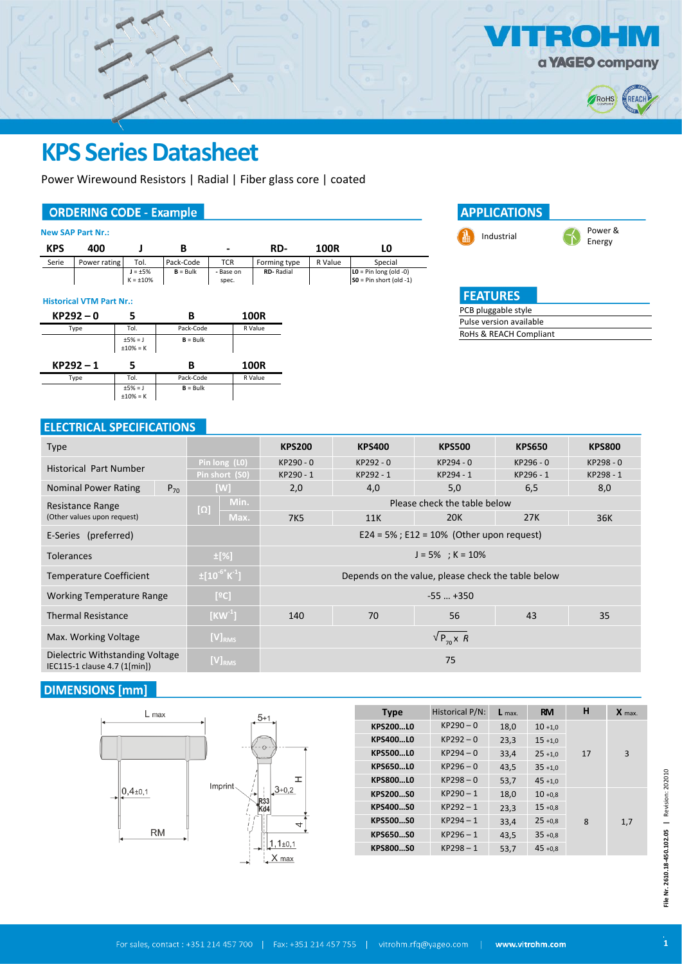

# **KPS Series Datasheet**

Power Wirewound Resistors | Radial | Fiber glass core | coated

## **ORDERING CODE - Example**

|  | <b>New SAP Part Nr.:</b> |  |
|--|--------------------------|--|
|  |                          |  |

| <b>KPS</b> | 400          |                                |            | $\blacksquare$     | RD-              | 100R    | LO.                                                   |
|------------|--------------|--------------------------------|------------|--------------------|------------------|---------|-------------------------------------------------------|
| Serie      | Power rating | Tol.                           | Pack-Code  | TCR                | Forming type     | R Value | Special                                               |
|            |              | $J = \pm 5%$<br>$K = \pm 10\%$ | $B = Bulk$ | - Base on<br>spec. | <b>RD-Radial</b> |         | $LO = Pin long (old -0)$<br>$SO = Pin short (old -1)$ |

#### **Historical VTM Part Nr.:**





# **FEATURES**

| PCB pluggable style     |
|-------------------------|
| Pulse version available |
| RoHs & REACH Compliant  |
|                         |

## **ELECTRICAL SPECIFICATIONS**

| <b>Type</b>                                                     |                                  | <b>KPS200</b>                                      | <b>KPS400</b> | <b>KPS500</b> | <b>KPS650</b> | <b>KPS800</b> |  |  |
|-----------------------------------------------------------------|----------------------------------|----------------------------------------------------|---------------|---------------|---------------|---------------|--|--|
| <b>Historical Part Number</b>                                   | Pin long (LO)                    | KP290 - 0                                          | KP292 - 0     | KP294 - 0     | KP296 - 0     | KP298 - 0     |  |  |
|                                                                 | Pin short (S0)                   | KP290 - 1                                          | KP292 - 1     | KP294 - 1     | KP296 - 1     | KP298 - 1     |  |  |
| <b>Nominal Power Rating</b><br>$P_{70}$                         | [W]                              | 2,0                                                | 4,0           | 5,0           | 6,5           | 8,0           |  |  |
| Resistance Range                                                | Min.                             | Please check the table below                       |               |               |               |               |  |  |
| (Other values upon request)                                     | $[\Omega]$<br>Max.               | <b>7K5</b>                                         | 11K           | <b>20K</b>    | 27K           | 36K           |  |  |
| E-Series (preferred)                                            |                                  | $E24 = 5\%$ ; $E12 = 10\%$ (Other upon request)    |               |               |               |               |  |  |
| <b>Tolerances</b>                                               | ±[%]                             | $J = 5\%$ ; K = 10%                                |               |               |               |               |  |  |
| <b>Temperature Coefficient</b>                                  | $\pm [10^{-6}$ K <sup>-1</sup> ] | Depends on the value, please check the table below |               |               |               |               |  |  |
| <b>Working Temperature Range</b>                                | [°C]                             | $-55$ $+350$                                       |               |               |               |               |  |  |
| <b>Thermal Resistance</b>                                       | $[KW^1]$                         | 70<br>56<br>140<br>43<br>35                        |               |               |               |               |  |  |
| Max. Working Voltage                                            | $[V]_{RMS}$                      | $\sqrt{P_{70}X}$ R                                 |               |               |               |               |  |  |
| Dielectric Withstanding Voltage<br>IEC115-1 clause 4.7 (1[min]) | $[V]_{RMS}$                      | 75                                                 |               |               |               |               |  |  |

## **DIMENSIONS** [mm]

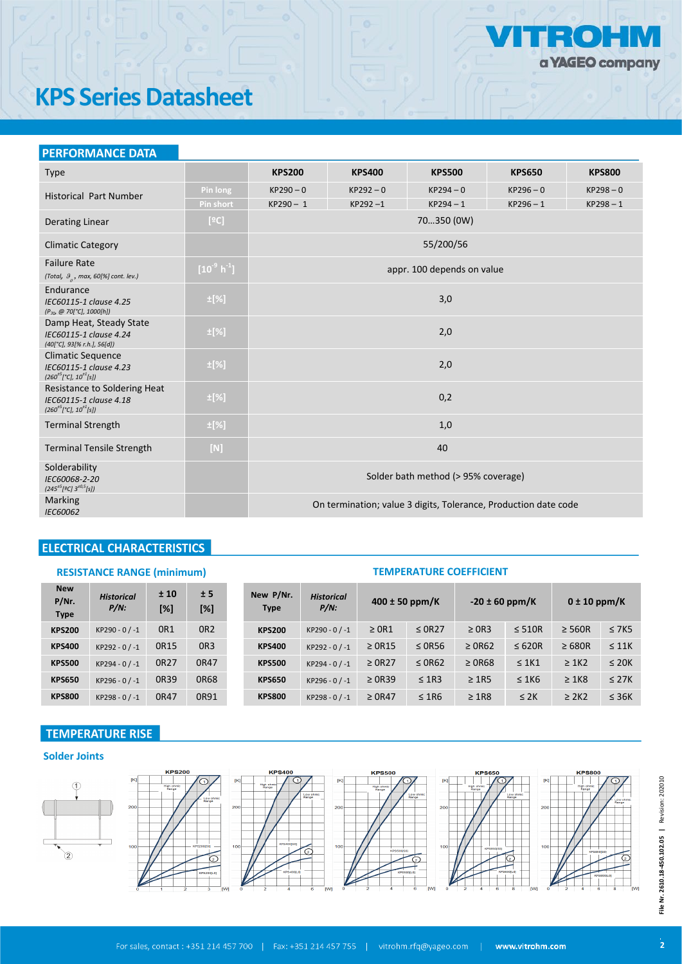

# **KPS Series Datasheet**

| <b>PERFORMANCE DATA</b>                                                                                     |                      |                                                                 |               |                            |               |               |  |  |  |
|-------------------------------------------------------------------------------------------------------------|----------------------|-----------------------------------------------------------------|---------------|----------------------------|---------------|---------------|--|--|--|
| <b>Type</b>                                                                                                 |                      | <b>KPS200</b>                                                   | <b>KPS400</b> | <b>KPS500</b>              | <b>KPS650</b> | <b>KPS800</b> |  |  |  |
| <b>Historical Part Number</b>                                                                               | Pin long             | $KP290 - 0$                                                     | $KP292 - 0$   | $KP294 - 0$                | $KP296 - 0$   | $KP298 - 0$   |  |  |  |
|                                                                                                             | <b>Pin short</b>     | $KP290 - 1$                                                     | $KP292 - 1$   | $KP294 - 1$                | $KP296 - 1$   | $KP298 - 1$   |  |  |  |
| <b>Derating Linear</b>                                                                                      | [°C]                 |                                                                 |               | 70350 (0W)                 |               |               |  |  |  |
| <b>Climatic Category</b>                                                                                    |                      |                                                                 |               | 55/200/56                  |               |               |  |  |  |
| <b>Failure Rate</b><br>(Total, $\theta$ ,, max, 60[%] cont. lev.)                                           | $[10^9 \text{ h}^1]$ |                                                                 |               | appr. 100 depends on value |               |               |  |  |  |
| Endurance<br>IEC60115-1 clause 4.25<br>$(P_{70} \ @ \ 70[°C], \ 1000[h])$                                   | $\pm$ [%]            |                                                                 | 3,0           |                            |               |               |  |  |  |
| Damp Heat, Steady State<br>IEC60115-1 clause 4.24<br>(40[°C], 93[% r.h.], 56[d])                            | $\pm$ [%]            | 2,0                                                             |               |                            |               |               |  |  |  |
| <b>Climatic Sequence</b><br>IEC60115-1 clause 4.23<br>$(260^{\pm 5} [^{\circ}C], 10^{\pm 1}[s])$            | $\pm$ [%]            | 2,0                                                             |               |                            |               |               |  |  |  |
| <b>Resistance to Soldering Heat</b><br>IEC60115-1 clause 4.18<br>$(260^{\pm 5} [^{\circ}C], 10^{\pm 1}[s])$ | $\pm$ [%]            | 0,2                                                             |               |                            |               |               |  |  |  |
| <b>Terminal Strength</b>                                                                                    | $\pm$ [%]            | 1,0                                                             |               |                            |               |               |  |  |  |
| <b>Terminal Tensile Strength</b>                                                                            | $[{\sf N}]$          | 40                                                              |               |                            |               |               |  |  |  |
| Solderability<br>IEC60068-2-20<br>$(245^{+5}[9C]\,3^{+0,5}[s])$                                             |                      | Solder bath method (> 95% coverage)                             |               |                            |               |               |  |  |  |
| Marking<br>IEC60062                                                                                         |                      | On termination; value 3 digits, Tolerance, Production date code |               |                            |               |               |  |  |  |

# **ELECTRICAL CHARACTERISTICS**

### **RESISTANCE RANGE (minimum) TEMPERATURE COEFFICIENT**

| <b>New</b><br>P/Nr.<br><b>Type</b> | <b>Historical</b><br>$P/N$ : | ±10<br>[%]      | ± 5<br>[%]      | New P/Nr.<br><b>Type</b> | <b>Historical</b><br>$P/N$ : | $400 \pm 50$ ppm/K |             | $-20 \pm 60$ ppm/K |             | $0 \pm 10$ ppm/K |            |
|------------------------------------|------------------------------|-----------------|-----------------|--------------------------|------------------------------|--------------------|-------------|--------------------|-------------|------------------|------------|
| <b>KPS200</b>                      | $KP290 - 0 / -1$             | OR <sub>1</sub> | OR <sub>2</sub> | <b>KPS200</b>            | $KP290 - 0 / -1$             | $\geq$ OR1         | $\leq$ 0R27 | $\geq$ 0R3         | $\leq$ 510R | $\geq$ 560R      | $\leq$ 7K5 |
| <b>KPS400</b>                      | KP292 - 0 / -1               | 0R15            | OR <sub>3</sub> | <b>KPS400</b>            | KP292 - 0 / -1               | $\geq$ 0R15        | $\leq$ 0R56 | $\geq$ 0R62        | $\leq 620R$ | $\geq 680R$      | $\leq$ 11K |
| <b>KPS500</b>                      | $KP294 - 0 / -1$             | 0R27            | 0R47            | <b>KPS500</b>            | KP294 - 0 / -1               | $\geq$ 0R27        | $\leq$ 0R62 | $\geq$ 0R68        | $\leq 1K1$  | $\geq 1K2$       | $\leq$ 20K |
| <b>KPS650</b>                      | $KP296 - 0 / -1$             | <b>OR39</b>     | <b>OR68</b>     | <b>KPS650</b>            | KP296 - 0 / -1               | $\geq$ 0R39        | $\leq$ 1R3  | $\geq$ 1R5         | $\leq$ 1K6  | $\geq 1K8$       | $\leq$ 27K |
| <b>KPS800</b>                      | $KP298 - 0 / -1$             | 0R47            | 0R91            | <b>KPS800</b>            | KP298 - 0 / -1               | $\geq$ 0R47        | $\leq$ 1R6  | $\geq$ 1R8         | $\leq$ 2K   | $\geq$ 2K2       | $\leq$ 36K |

# **TEMPERATURE RISE**

#### **Solder Joints**



File Nr. 2610.18-450.102.05 | Revision: 202010 **File Nr. 2610.18-450.102.05 |** Revision: 202010